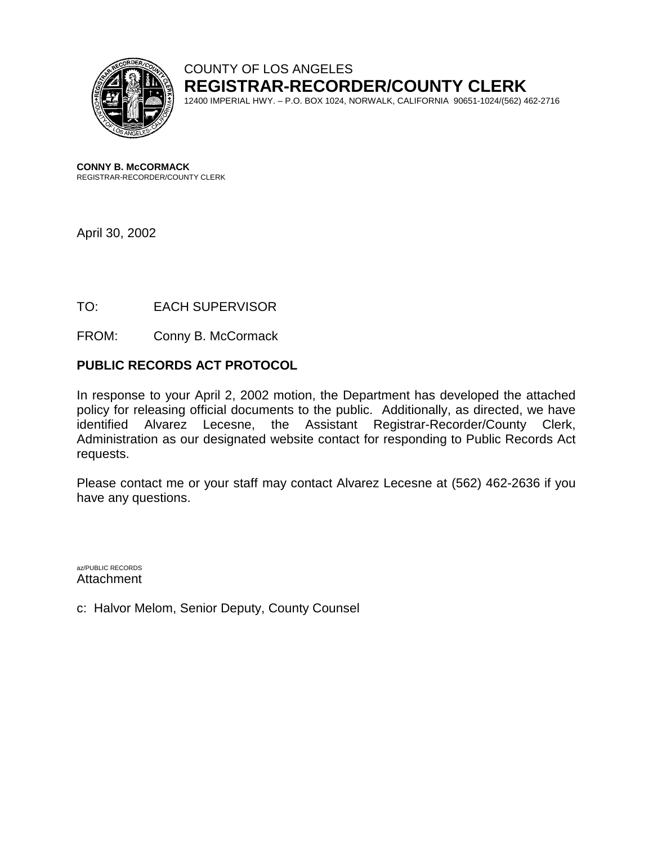

COUNTY OF LOS ANGELES **REGISTRAR-RECORDER/COUNTY CLERK**

12400 IMPERIAL HWY. – P.O. BOX 1024, NORWALK, CALIFORNIA 90651-1024/(562) 462-2716

**CONNY B. McCORMACK** REGISTRAR-RECORDER/COUNTY CLERK

April 30, 2002

# TO: EACH SUPERVISOR

FROM: Conny B. McCormack

# **PUBLIC RECORDS ACT PROTOCOL**

In response to your April 2, 2002 motion, the Department has developed the attached policy for releasing official documents to the public. Additionally, as directed, we have identified Alvarez Lecesne, the Assistant Registrar-Recorder/County Clerk, Administration as our designated website contact for responding to Public Records Act requests.

Please contact me or your staff may contact Alvarez Lecesne at (562) 462-2636 if you have any questions.

az/PUBLIC RECORDS Attachment

c: Halvor Melom, Senior Deputy, County Counsel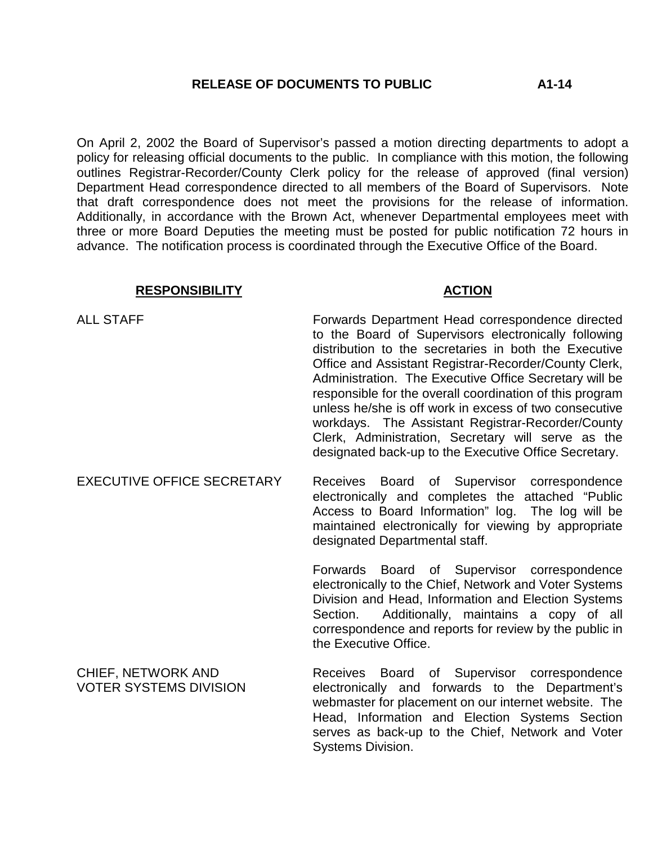On April 2, 2002 the Board of Supervisor's passed a motion directing departments to adopt a policy for releasing official documents to the public. In compliance with this motion, the following outlines Registrar-Recorder/County Clerk policy for the release of approved (final version) Department Head correspondence directed to all members of the Board of Supervisors. Note that draft correspondence does not meet the provisions for the release of information. Additionally, in accordance with the Brown Act, whenever Departmental employees meet with three or more Board Deputies the meeting must be posted for public notification 72 hours in advance. The notification process is coordinated through the Executive Office of the Board.

### RESPONSIBILITY ACTION

serves as back-up to the Chief, Network and Voter

ALL STAFF FOR THE Forwards Department Head correspondence directed to the Board of Supervisors electronically following distribution to the secretaries in both the Executive Office and Assistant Registrar-Recorder/County Clerk, Administration. The Executive Office Secretary will be responsible for the overall coordination of this program unless he/she is off work in excess of two consecutive workdays. The Assistant Registrar-Recorder/County Clerk, Administration, Secretary will serve as the designated back-up to the Executive Office Secretary. EXECUTIVE OFFICE SECRETARY Receives Board of Supervisor correspondence electronically and completes the attached "Public Access to Board Information" log. The log will be maintained electronically for viewing by appropriate designated Departmental staff. Forwards Board of Supervisor correspondence electronically to the Chief, Network and Voter Systems Division and Head, Information and Election Systems Section. Additionally, maintains a copy of all correspondence and reports for review by the public in the Executive Office. CHIEF, NETWORK AND VOTER SYSTEMS DIVISION Receives Board of Supervisor correspondence electronically and forwards to the Department's webmaster for placement on our internet website. The Head, Information and Election Systems Section

Systems Division.